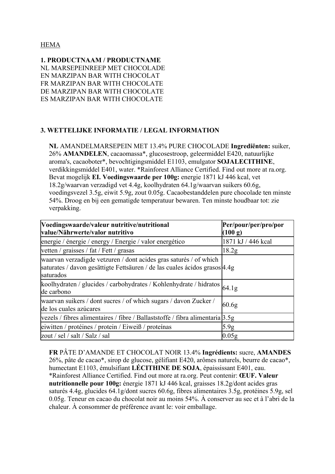## HEMA

**1. PRODUCTNAAM / PRODUCTNAME** NL MARSEPEINREEP MET CHOCOLADE EN MARZIPAN BAR WITH CHOCOLAT FR MARZIPAN BAR WITH CHOCOLATE DE MARZIPAN BAR WITH CHOCOLATE ES MARZIPAN BAR WITH CHOCOLATE

## **3. WETTELIJKE INFORMATIE / LEGAL INFORMATION**

**NL** AMANDELMARSEPEIN MET 13.4% PURE CHOCOLADE **Ingrediënten:** suiker, 26% **AMANDELEN**, cacaomassa\*, glucosestroop, geleermiddel E420, natuurlijke aroma's, cacaoboter\*, bevochtigingsmiddel E1103, emulgator **SOJALECITHINE**, verdikkingsmiddel E401, water. \*Rainforest Alliance Certified. Find out more at ra.org. Bevat mogelijk **EI. Voedingswaarde per 100g:** energie 1871 kJ 446 kcal, vet 18.2g/waarvan verzadigd vet 4.4g, koolhydraten 64.1g/waarvan suikers 60.6g, voedingsvezel 3.5g, eiwit 5.9g, zout 0.05g. Cacaobestanddelen pure chocolade ten minste 54%. Droog en bij een gematigde temperatuur bewaren. Ten minste houdbaar tot: zie verpakking.

| Voedingswaarde/valeur nutritive/nutritional<br>value/Nährwerte/valor nutritivo                                                                               | Per/pour/per/pro/por<br>(100 g) |
|--------------------------------------------------------------------------------------------------------------------------------------------------------------|---------------------------------|
| energie / énergie / energy / Energie / valor energético                                                                                                      | 1871 kJ / 446 kcal              |
| vetten / graisses / fat / Fett / grasas                                                                                                                      | 18.2 <sub>g</sub>               |
| waarvan verzadigde vetzuren / dont acides gras saturés / of which<br>saturates / davon gesättigte Fettsäuren / de las cuales ácidos grasos 4.4g<br>saturados |                                 |
| koolhydraten / glucides / carbohydrates / Kohlenhydrate / hidratos 64.1g<br>de carbono                                                                       |                                 |
| waarvan suikers / dont sucres / of which sugars / davon Zucker /<br>de los cuales azúcares                                                                   | 60.6 <sub>g</sub>               |
| $ {\rm vezes} $ / fibres alimentaires / fibre / Ballaststoffe / fibra alimentaria 3.5g                                                                       |                                 |
| eiwitten / protéines / protein / Eiweiß / proteínas                                                                                                          | 5.9g                            |
| zout / sel / salt / Salz / sal                                                                                                                               | 0.05 <sub>g</sub>               |

**FR** PÂTE D'AMANDE ET CHOCOLAT NOIR 13.4% **Ingrédients:** sucre, **AMANDES** 26%, pâte de cacao\*, sirop de glucose, gélifiant E420, arômes naturels, beurre de cacao\*, humectant E1103, émulsifiant **LÉCITHINE DE SOJA**, épaississant E401, eau. \*Rainforest Alliance Certified. Find out more at ra.org. Peut contenir: **ŒUF. Valeur nutritionnelle pour 100g:** énergie 1871 kJ 446 kcal, graisses 18.2g/dont acides gras saturés 4.4g, glucides 64.1g/dont sucres 60.6g, fibres alimentaires 3.5g, protéines 5.9g, sel 0.05g. Teneur en cacao du chocolat noir au moins 54%. À conserver au sec et à l'abri de la chaleur. À consommer de préférence avant le: voir emballage.